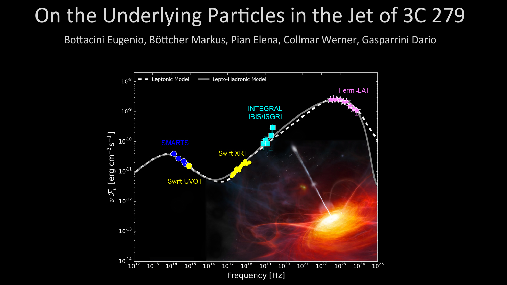## On the Underlying Particles in the Jet of 3C 279

Bottacini Eugenio, Böttcher Markus, Pian Elena, Collmar Werner, Gasparrini Dario

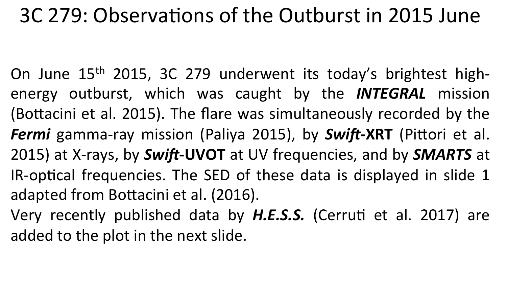## 3C 279: Observations of the Outburst in 2015 June

On June  $15<sup>th</sup>$  2015, 3C 279 underwent its today's brightest highenergy outburst, which was caught by the **INTEGRAL** mission (Bottacini et al. 2015). The flare was simultaneously recorded by the *Fermi* gamma-ray mission (Paliya 2015), by **Swift-XRT** (Pittori et al. 2015) at X-rays, by Swift-UVOT at UV frequencies, and by **SMARTS** at IR-optical frequencies. The SED of these data is displayed in slide 1 adapted from Bottacini et al. (2016).

Very recently published data by H.E.S.S. (Cerruti et al. 2017) are added to the plot in the next slide.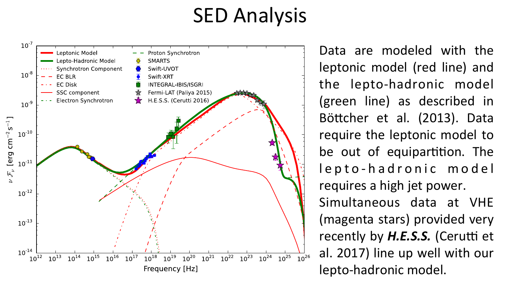## **SED Analysis**



Data are modeled with the leptonic model (red line) and the lepto-hadronic model (green line) as described in Böttcher et al. (2013). Data require the leptonic model to be out of equipartition. The lepto-hadronic m o d e l requires a high jet power. Simultaneous data at VHE (magenta stars) provided very recently by *H.E.S.S.* (Cerutti et al. 2017) line up well with our lepto-hadronic model.